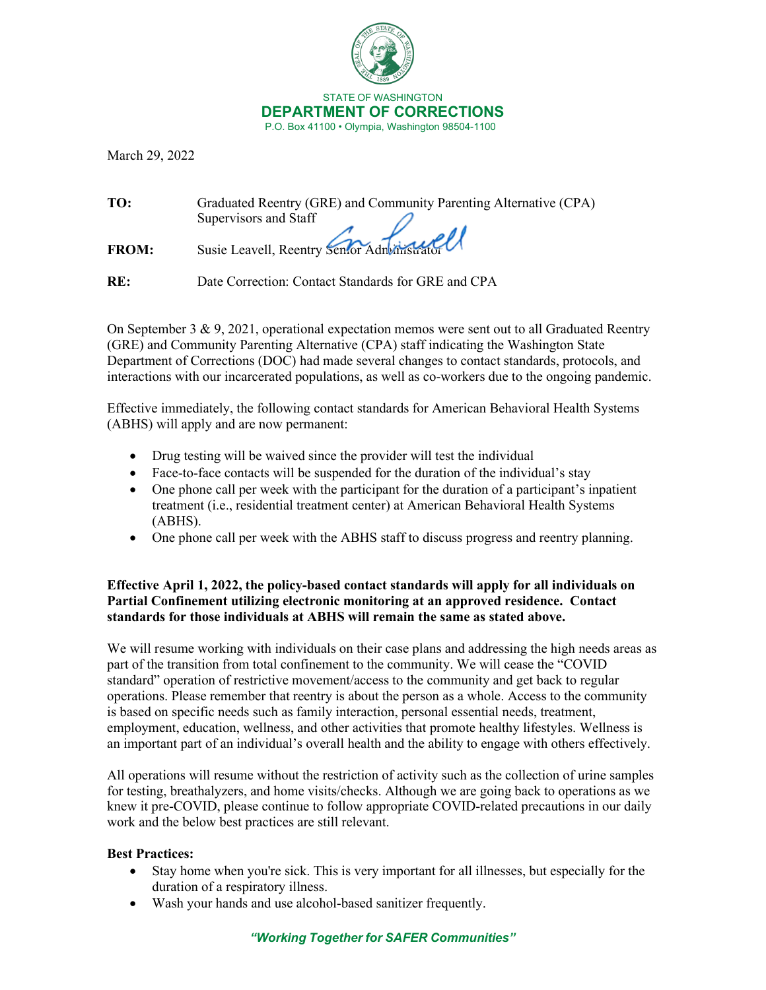

STATE OF WASHINGTON **DEPARTMENT OF CORRECTIONS**P.O. Box 41100 • Olympia, Washington 98504-1100

March 29, 2022

| TO:          | Graduated Reentry (GRE) and Community Parenting Alternative (CPA) |
|--------------|-------------------------------------------------------------------|
|              | Supervisors and Staff                                             |
|              |                                                                   |
| <b>FROM:</b> | Susie Leavell, Reentry Senfor Administrator                       |
|              |                                                                   |

**RE:** Date Correction: Contact Standards for GRE and CPA

On September 3 & 9, 2021, operational expectation memos were sent out to all Graduated Reentry (GRE) and Community Parenting Alternative (CPA) staff indicating the Washington State Department of Corrections (DOC) had made several changes to contact standards, protocols, and interactions with our incarcerated populations, as well as co-workers due to the ongoing pandemic.

Effective immediately, the following contact standards for American Behavioral Health Systems (ABHS) will apply and are now permanent:

- Drug testing will be waived since the provider will test the individual
- Face-to-face contacts will be suspended for the duration of the individual's stay
- One phone call per week with the participant for the duration of a participant's inpatient treatment (i.e., residential treatment center) at American Behavioral Health Systems (ABHS).
- One phone call per week with the ABHS staff to discuss progress and reentry planning.

## **Effective April 1, 2022, the policy-based contact standards will apply for all individuals on Partial Confinement utilizing electronic monitoring at an approved residence. Contact standards for those individuals at ABHS will remain the same as stated above.**

We will resume working with individuals on their case plans and addressing the high needs areas as part of the transition from total confinement to the community. We will cease the "COVID standard" operation of restrictive movement/access to the community and get back to regular operations. Please remember that reentry is about the person as a whole. Access to the community is based on specific needs such as family interaction, personal essential needs, treatment, employment, education, wellness, and other activities that promote healthy lifestyles. Wellness is an important part of an individual's overall health and the ability to engage with others effectively.

All operations will resume without the restriction of activity such as the collection of urine samples for testing, breathalyzers, and home visits/checks. Although we are going back to operations as we knew it pre-COVID, please continue to follow appropriate COVID-related precautions in our daily work and the below best practices are still relevant.

## **Best Practices:**

- Stay home when you're sick. This is very important for all illnesses, but especially for the duration of a respiratory illness.
- Wash your hands and use alcohol-based sanitizer frequently.

## *"Working Together for SAFER Communities"*